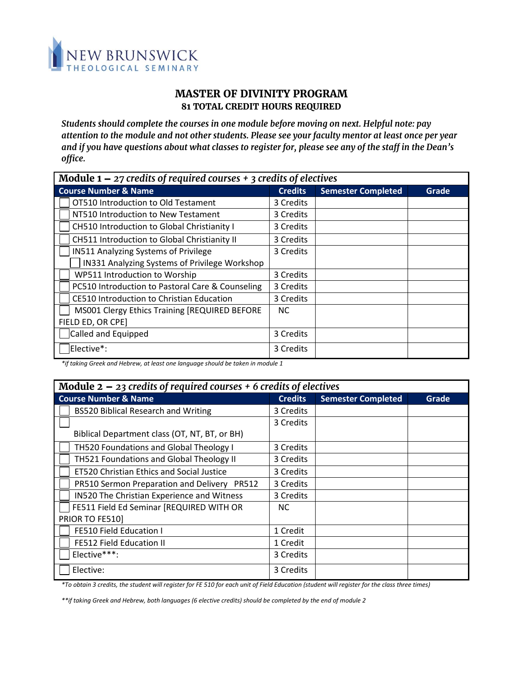

## *MASTER OF DIVINITY PROGRAM 81 TOTAL CREDIT HOURS REQUIRED*

*Students should complete the courses in one module before moving on next. Helpful note: pay attention to the module and not other students. Please see your faculty mentor at least once per year and if you have questions about what classes to register for, please see any of the staff in the Dean's office.*

| Module $1 - 27$ credits of required courses $+ 3$ credits of electives |                |                           |       |  |  |
|------------------------------------------------------------------------|----------------|---------------------------|-------|--|--|
| <b>Course Number &amp; Name</b>                                        | <b>Credits</b> | <b>Semester Completed</b> | Grade |  |  |
| OT510 Introduction to Old Testament                                    | 3 Credits      |                           |       |  |  |
| NT510 Introduction to New Testament                                    | 3 Credits      |                           |       |  |  |
| CH510 Introduction to Global Christianity I                            | 3 Credits      |                           |       |  |  |
| CH511 Introduction to Global Christianity II                           | 3 Credits      |                           |       |  |  |
| <b>IN511 Analyzing Systems of Privilege</b>                            | 3 Credits      |                           |       |  |  |
| IN331 Analyzing Systems of Privilege Workshop                          |                |                           |       |  |  |
| WP511 Introduction to Worship                                          | 3 Credits      |                           |       |  |  |
| PC510 Introduction to Pastoral Care & Counseling                       | 3 Credits      |                           |       |  |  |
| CE510 Introduction to Christian Education                              | 3 Credits      |                           |       |  |  |
| MS001 Clergy Ethics Training [REQUIRED BEFORE                          | NC.            |                           |       |  |  |
| FIELD ED, OR CPE]                                                      |                |                           |       |  |  |
| Called and Equipped                                                    | 3 Credits      |                           |       |  |  |
| Elective*:                                                             | 3 Credits      |                           |       |  |  |

*\*if taking Greek and Hebrew, at least one language should be taken in module 1* 

| Module $2 - 23$ credits of required courses $+ 6$ credits of electives |                |                           |       |  |  |
|------------------------------------------------------------------------|----------------|---------------------------|-------|--|--|
| <b>Course Number &amp; Name</b>                                        | <b>Credits</b> | <b>Semester Completed</b> | Grade |  |  |
| <b>BS520 Biblical Research and Writing</b>                             | 3 Credits      |                           |       |  |  |
|                                                                        | 3 Credits      |                           |       |  |  |
| Biblical Department class (OT, NT, BT, or BH)                          |                |                           |       |  |  |
| TH520 Foundations and Global Theology I                                | 3 Credits      |                           |       |  |  |
| TH521 Foundations and Global Theology II                               | 3 Credits      |                           |       |  |  |
| <b>ET520 Christian Ethics and Social Justice</b>                       | 3 Credits      |                           |       |  |  |
| PR510 Sermon Preparation and Delivery PR512                            | 3 Credits      |                           |       |  |  |
| IN520 The Christian Experience and Witness                             | 3 Credits      |                           |       |  |  |
| FE511 Field Ed Seminar [REQUIRED WITH OR                               | <b>NC</b>      |                           |       |  |  |
| PRIOR TO FE510]                                                        |                |                           |       |  |  |
| FE510 Field Education I                                                | 1 Credit       |                           |       |  |  |
| FE512 Field Education II                                               | 1 Credit       |                           |       |  |  |
| Elective***:                                                           | 3 Credits      |                           |       |  |  |
| Elective:                                                              | 3 Credits      |                           |       |  |  |

*\*To obtain 3 credits, the student will register for FE 510 for each unit of Field Education (student will register for the class three times)*

*\*\*if taking Greek and Hebrew, both languages (6 elective credits) should be completed by the end of module 2*